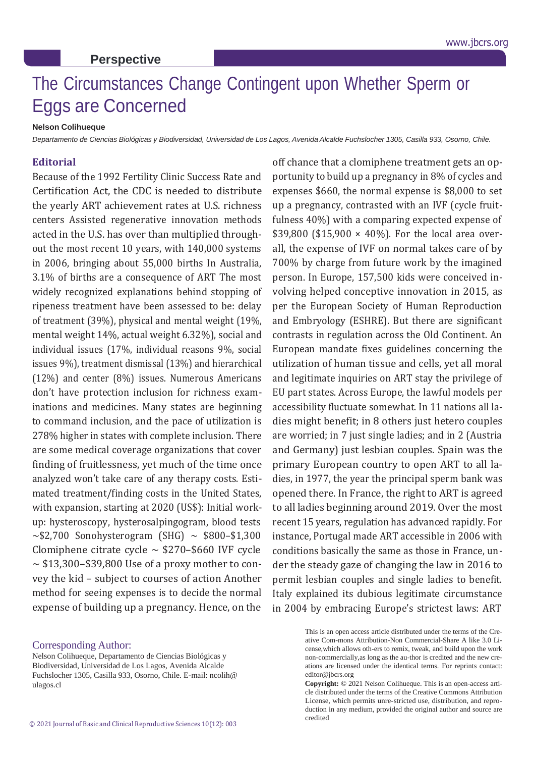## The Circumstances Change Contingent upon Whether Sperm or Eggs are Concerned

## **Nelson Colihueque**

**Perspective**

Departamento de Ciencias Biológicas y Biodiversidad, Universidad de Los Lagos, Avenida Alcalde Fuchslocher 1305, Casilla 933, Osorno, Chile.

## **Editorial**

Because of the 1992 Fertility Clinic Success Rate and Certification Act, the CDC is needed to distribute the yearly ART achievement rates at U.S. richness centers Assisted regenerative innovation methods acted in the U.S. has over than multiplied throughout the most recent 10 years, with 140,000 systems in 2006, bringing about 55,000 births In Australia, 3.1% of births are a consequence of ART The most widely recognized explanations behind stopping of ripeness treatment have been assessed to be: delay of treatment (39%), physical and mental weight (19%, mental weight 14%, actual weight 6.32%), social and individual issues (17%, individual reasons 9%, social issues 9%), treatment dismissal (13%) and hierarchical (12%) and center (8%) issues. Numerous Americans don't have protection inclusion for richness examinations and medicines. Many states are beginning to command inclusion, and the pace of utilization is 278% higher in states with complete inclusion. There are some medical coverage organizations that cover finding of fruitlessness, yet much of the time once analyzed won't take care of any therapy costs. Estimated treatment/finding costs in the United States, with expansion, starting at 2020 (US\$): Initial workup: hysteroscopy, hysterosalpingogram, blood tests  $\sim$ \$2,700 Sonohysterogram (SHG)  $\sim$  \$800-\$1,300 Clomiphene citrate cycle  $\sim$  \$270–\$660 IVF cycle  $\sim$  \$13,300–\$39,800 Use of a proxy mother to convey the kid – subject to courses of action Another method for seeing expenses is to decide the normal expense of building up a pregnancy. Hence, on the

off chance that a clomiphene treatment gets an opportunity to build up a pregnancy in 8% of cycles and expenses \$660, the normal expense is \$8,000 to set up a pregnancy, contrasted with an IVF (cycle fruitfulness 40%) with a comparing expected expense of \$39,800 (\$15,900  $\times$  40%). For the local area overall, the expense of IVF on normal takes care of by 700% by charge from future work by the imagined person. In Europe, 157,500 kids were conceived involving helped conceptive innovation in 2015, as per the European Society of Human Reproduction and Embryology (ESHRE). But there are significant contrasts in regulation across the Old Continent. An European mandate fixes guidelines concerning the utilization of human tissue and cells, yet all moral and legitimate inquiries on ART stay the privilege of EU part states. Across Europe, the lawful models per accessibility fluctuate somewhat. In 11 nations all ladies might benefit; in 8 others just hetero couples are worried; in 7 just single ladies; and in 2 (Austria and Germany) just lesbian couples. Spain was the primary European country to open ART to all ladies, in 1977, the year the principal sperm bank was opened there. In France, the right to ART is agreed to all ladies beginning around 2019. Over the most recent 15 years, regulation has advanced rapidly. For instance, Portugal made ART accessible in 2006 with conditions basically the same as those in France, under the steady gaze of changing the law in 2016 to permit lesbian couples and single ladies to benefit. Italy explained its dubious legitimate circumstance in 2004 by embracing Europe's strictest laws: ART

> This is an open access article distributed under the terms of the Creative Com-mons Attribution-Non Commercial-Share A like 3.0 License,which allows oth-ers to remix, tweak, and build upon the work non-commercially,as long as the au-thor is credited and the new creations are licensed under the identical terms. For reprints contact: [editor@jbcrs.org](mailto:editor@jbcrs.org)

> **Copyright:** © 2021 Nelson Colihueque. This is an open-access article distributed under the terms of the Creative Commons Attribution License, which permits unre-stricted use, distribution, and reproduction in any medium, provided the original author and source are credited

Corresponding Author:

Nelson Colihueque, Departamento de Ciencias Biológicas y Biodiversidad, Universidad de Los Lagos, Avenida Alcalde Fuchslocher 1305, Casilla 933, Osorno, Chile. E-mail: ncolih@ ulagos.cl